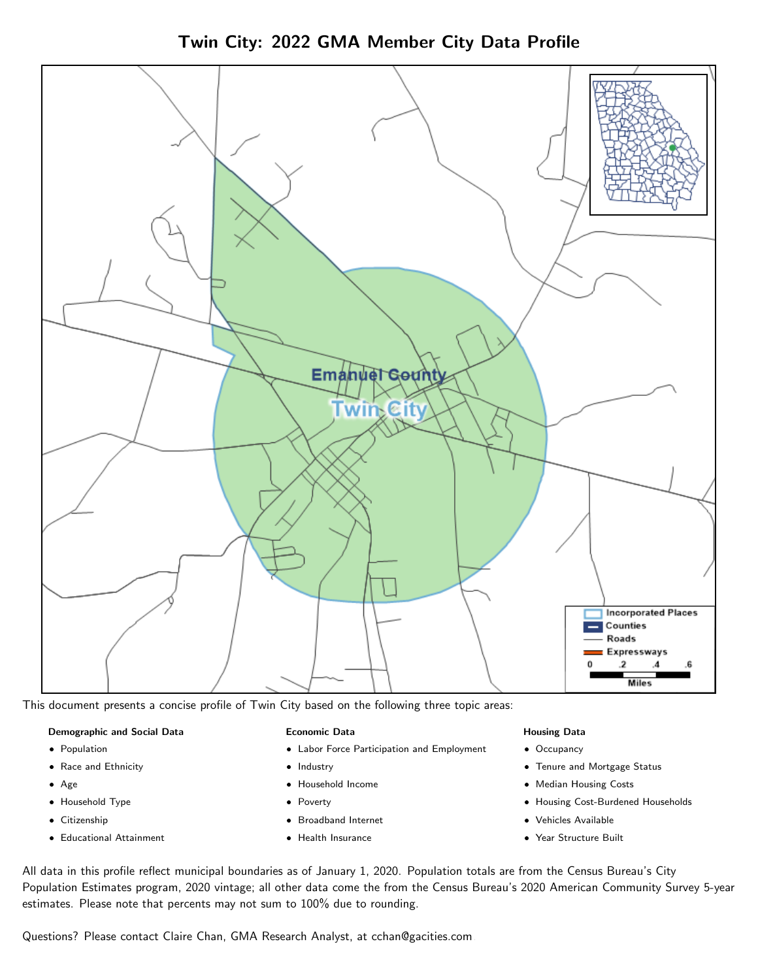Twin City: 2022 GMA Member City Data Profile



This document presents a concise profile of Twin City based on the following three topic areas:

#### Demographic and Social Data

- **•** Population
- Race and Ethnicity
- Age
- Household Type
- **Citizenship**
- Educational Attainment

#### Economic Data

- Labor Force Participation and Employment
- Industry
- Household Income
- Poverty
- Broadband Internet
- Health Insurance

#### Housing Data

- Occupancy
- Tenure and Mortgage Status
- Median Housing Costs
- Housing Cost-Burdened Households
- Vehicles Available
- Year Structure Built

All data in this profile reflect municipal boundaries as of January 1, 2020. Population totals are from the Census Bureau's City Population Estimates program, 2020 vintage; all other data come the from the Census Bureau's 2020 American Community Survey 5-year estimates. Please note that percents may not sum to 100% due to rounding.

Questions? Please contact Claire Chan, GMA Research Analyst, at [cchan@gacities.com.](mailto:cchan@gacities.com)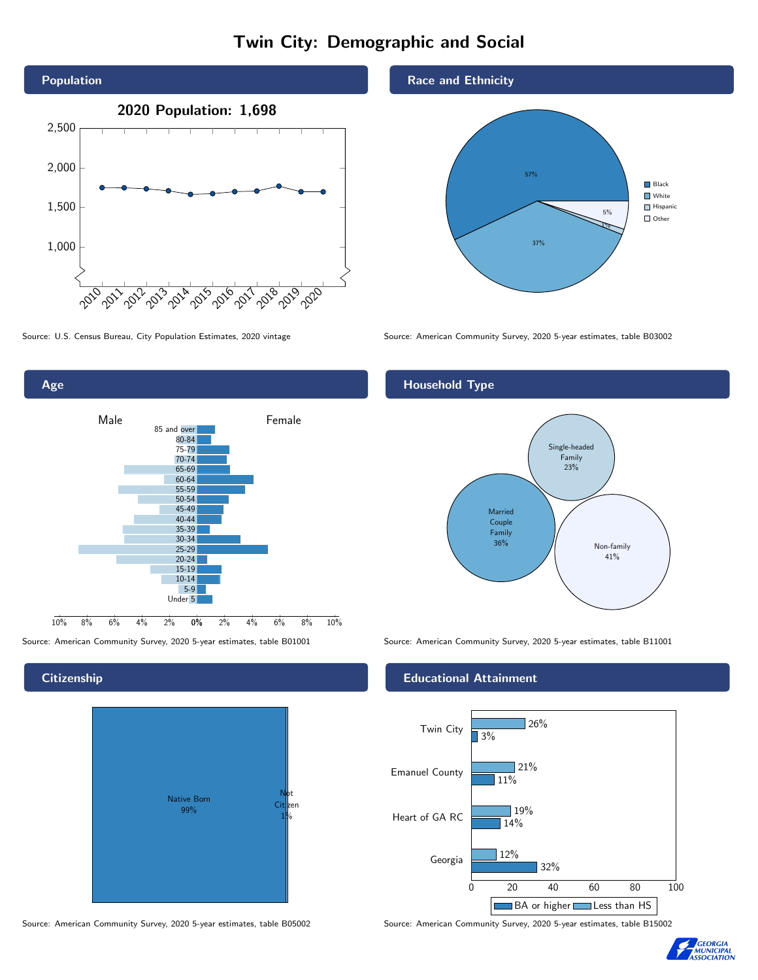# Twin City: Demographic and Social



0% 2% 4% 6% 8% 10% Male **Female** 10% 8% 6% 4% 2% 85 and over 80-84 75-79 70-74 65-69 60-64 55-59 50-54 45-49 40-44 35-39 30-34 25-29 20-24 15-19 10-14 5-9 Under 5

#### **Citizenship**

Age



Source: American Community Survey, 2020 5-year estimates, table B05002 Source: American Community Survey, 2020 5-year estimates, table B15002



Source: U.S. Census Bureau, City Population Estimates, 2020 vintage Source: American Community Survey, 2020 5-year estimates, table B03002

## Household Type



Source: American Community Survey, 2020 5-year estimates, table B01001 Source: American Community Survey, 2020 5-year estimates, table B11001

#### Educational Attainment



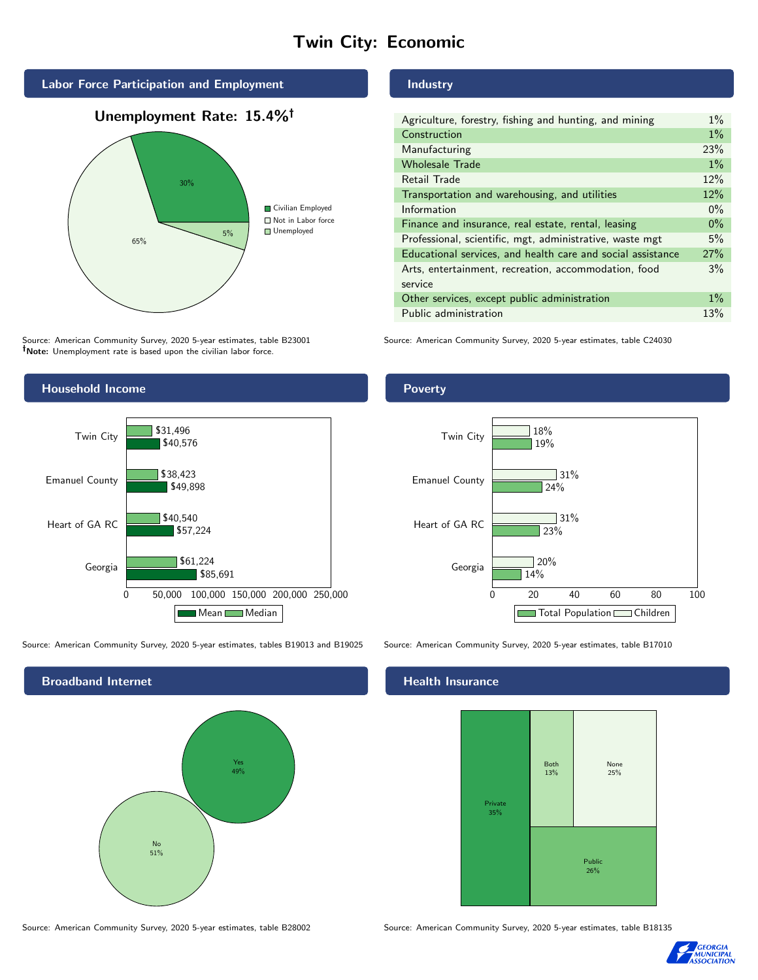# Twin City: Economic



# Unemployment Rate: 15.4%



Source: American Community Survey, 2020 5-year estimates, table B23001 Note: Unemployment rate is based upon the civilian labor force.

### Industry

| Agriculture, forestry, fishing and hunting, and mining      | $1\%$ |
|-------------------------------------------------------------|-------|
| Construction                                                | $1\%$ |
| Manufacturing                                               | 23%   |
| <b>Wholesale Trade</b>                                      | $1\%$ |
| Retail Trade                                                | 12%   |
| Transportation and warehousing, and utilities               | 12%   |
| Information                                                 | $0\%$ |
| Finance and insurance, real estate, rental, leasing         | $0\%$ |
| Professional, scientific, mgt, administrative, waste mgt    | 5%    |
| Educational services, and health care and social assistance | 27%   |
| Arts, entertainment, recreation, accommodation, food        | 3%    |
| service                                                     |       |
| Other services, except public administration                | $1\%$ |
| Public administration                                       | 13%   |

Source: American Community Survey, 2020 5-year estimates, table C24030



Source: American Community Survey, 2020 5-year estimates, tables B19013 and B19025 Source: American Community Survey, 2020 5-year estimates, table B17010

Broadband Internet No 51% Yes 49%

#### Health Insurance



Source: American Community Survey, 2020 5-year estimates, table B28002 Source: American Community Survey, 2020 5-year estimates, table B18135